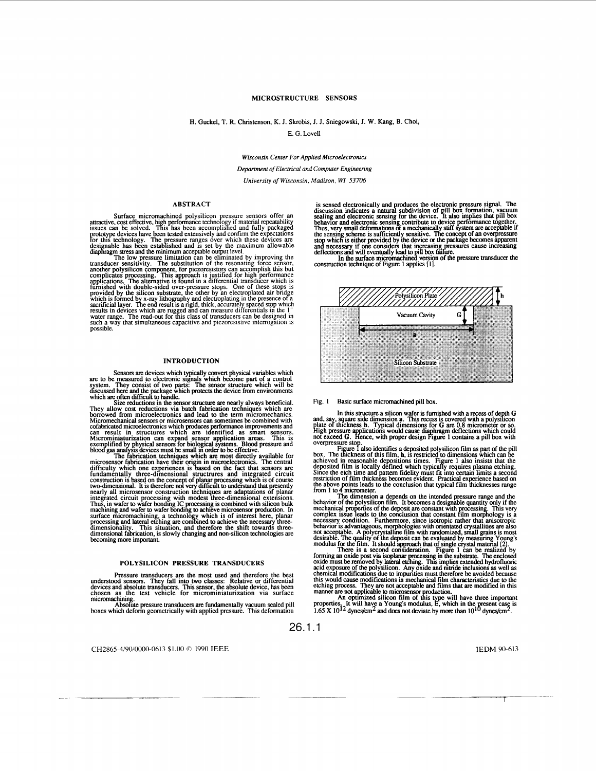# **MICROSTRUCTURE SENSORS**

<span id="page-0-0"></span>H. Guckel, T. R. Christenson, K. J. Skrobis, J. J. Sniegowski. J. **W.** Kang, **B.** Choi,

E. G. Lovell

**Wisconsin Center For Applied Microelectronics** 

*Department of Electrical and Computer Engineering* 

*Universify of Wisconsin, Madison, WI 53706* 

## **ABSTRACT**

**Surface micromachined polysilicon pressure sensors offer an**<br>**attractive, cost effective, high performance technology if material repeatability<br>issues can be solved. This has been accomplished and fully packaged** maximum confusion and the solved. This has been accomplished and fully packaged<br>prototype devices have been tested extensively and confirm the expectations<br>devices are designable has been established and is set by the maxi Surface micromachined polysilicon

diaphragm stress and the minimum acceptable output level.<br>The low pressure limitation can be eliminated by improving the<br>transducer sensitivity. The substitution of the resonating force sensor,<br>another polysilicon componen

#### **INTRODUCTION**

Sensors are devices which typically convert physical variables which<br>are to be measured to electronic signals which become part of a control<br>system. They consist of two parts: The sensor structure which will be<br>discussed h

## **POLYSILICON PRESSURE TRANSDUCERS**

Pressure transducers are the most used and therefore the best<br>understood sensors. They fail into two classes: Relative or differential<br>devices and absolute transducers. This sensor, the absolute device, has been<br>chosen as

is sensed electronically and produces the electronic pressure signal. The discussion indicates a natural subdivision of pill box formation, vacuum<br>discussion indicates a natural subdivision of pill box formation, vacuum<br>se behavior and electronic sensing contribute to device performance together.<br>Thus, very small deformations of a mechanically stiff system are acceptable if The sensing scheme is sufficiently sensitive. The concept of an overpressure<br>top which is either provided by the device or the package becomes apparent<br>and necessary if one considers that increasing pressures cause increas



## Fig. **1** Basic surface micromachined pill box.

In this structure a silicon wafer is furnished with a recess of depth G<br>and, say, square side dimension a. This recess is covered with a polysilicon<br>place of thickness h. Typical dimensions for G are 0.8 micrometer or so.<br>

overpressure stop...<br>
Figure 1 data in the condition of the pull conditions of the pill<br>
Figure 1 also instants a deposited polysticon film as part of the pill<br>
achieved in reasonable depositions times. Figure 1 also insis

restriction of film thickness becomes evident. Practical experience based on<br>the above points leads to the conclusion that typical film thicknesses range<br>from 1 to 4 micrometer.<br>The dimension a depends on the intended pres

There is a second consideration. Figure 1 can be realized by forming an oxide post via isoplanar processing in the substrate. The enclosed oxide must be removed by lateral etching. This implies extended hydrofluoric acid exposure of the polysilicon. Any oxide and mitride inclusions as well as chemical modifications due to impurities must therefore be avoided

An optimized silicon film of this type will have three important properties. It will have a Young's modulus, E, which in the present case is  $1.65 \times 10^{12}$  dynes/cm<sup>2</sup> and does not deviate by more than  $10^{10}$  dynes/cm<sup>2</sup>. An optimized silicon film of this ty

26.1.1

CH2865-419010000-0613 \$1.00 *0* 1990 IEEE

IEDM 90-613

r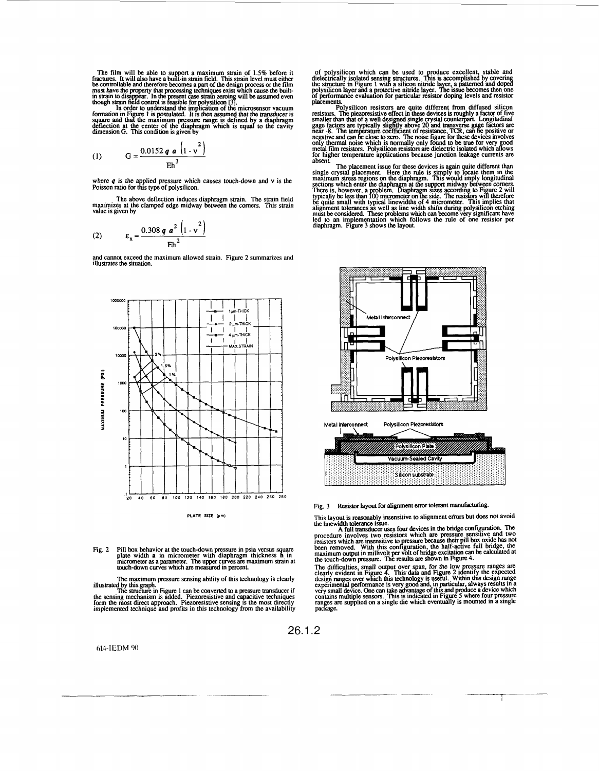<span id="page-1-0"></span>The film will be able to support a maximum strain of  $1.5%$  before it fractures. It will also have a built-in strain field. This strain level must either becontrollable and therefore becomes a part of the design process o

In o[rder to u](#page-0-0)nderstand the implication of the microsensor vacuum formation in [Figure](#page-0-0) 1 is postulated. It is then assumed that the transducer is square and that the maximum pressure range is defined by a diaphragm<br>deflection at the center of the diaphragm which is equal to the cavity<br>dimension G. This condition is given by

(1) 
$$
G = \frac{0.0152 q a \left(1 - v^2\right)}{E h^3}
$$

where *q* is the applied pressure which causes touch-down and *v* is the Poisson ratio for this type of polysilicon.

The above deflection induces diaphragm strain. The strain field<br>maximizes at the clamped edge midway between the corners. This strain<br>value is given by

(2) 
$$
\epsilon_x = \frac{0.308 \, q \, a^2 \left(1 - v^2\right)}{E h^2}
$$

and cannot exceed the maximum allowed strain. Figure 2 summarizes and illustrates the situation.



**PLATE SIZE (rm)** 

Fig. 2 Pill box behavior at the touch-down pressure in psia versus square plate width **a** in micrometer with diaphragm thickness **h** in micrometer as a parameter. The upper curves are maximum strain at touch-down curves which are measured in percent.

The maximum pressure sensing ability of this technology is clearly

**illustrated** by this graph. . The structure **m** [Figure 1](#page-0-0) *can* be converted to a pressure **transducer** if the sensing mechanism is added. Piezoresistive and capacitive techniques<br>form the most direct approach. Piezoresistive sensing is the most directly<br>implemented technique and profits in this technology from the availability

614-IEDM 90

of polysilicon which can be used to produce excellent, stable and<br>dielectrically isolated sensing structures. This is accomplished by covering<br>the structure in [Figure 1](#page-0-0) with a silicon nitride layer, a patterned and doped<br>p

placements. The playsitic resistors are quite different from diffused silicon resistors. The piezoresistive effect in these devices is roughly a factor of five smaller than that of a well designed single crystal counterpar

The placement issue for these devices is again quite different than<br>single crystal placement. Here the rule is simply to locate them in the<br>maximum stress regions on the diaphragm. This would imply longitudinal<br>sections wh be quite small with typical linewidths of 4 micrometer. This implies that<br>alignment tolerances as well as line width shifts during polysiticon etching<br>must be considered. These problems which can become very significant ha led to an implementation which follows the rule of one resistor per diaphragm. Figure 3 shows *the* layout.



Fig. 3 Resistor layout for alignment error tolerant manufacturing.

This layout is reasonably insensitive to alignment errors but does not avoid<br>the linewidth tolerance issue.<br>**A full transducer uses four devices in the bridge configuration. The** 

procedure involves two resistors which are pressure sensitive and two<br>resistors which are insensitive to pressure because their pill box oxide has not<br>been removed. With this configuration, the half-active full bridge, the

The difficulties, small output over span, for the low pressure ranges are clearly evident in Figure 4. This data and Figure 2 identity the expected design ranges over which this technology is useful. Within this design ran contains multiple sensors. This is indicated in Figure 5 where four pressure ranges are supplied on a single die which eventually is mounted in a single package.

26.1.2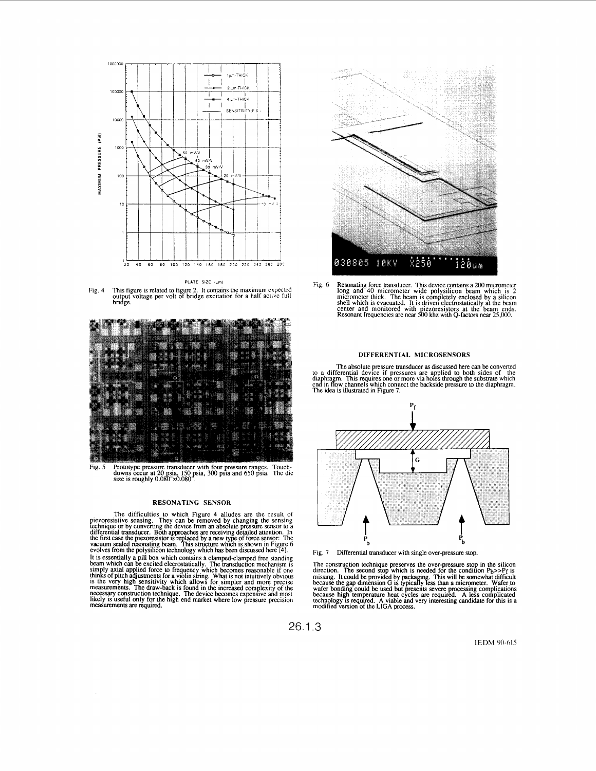<span id="page-2-0"></span>

**PLATE SIZE (pm)** 





Fig. 5 Prototype pressure transducer with four pressure ranges. Touch-<br>downs occur at 20 psia, 150 psia, 300 psia and 650 psia. The dic<br>size is roughly 0.080 x0.080 .

# **RESONATING SENSOR**

The difficulties to which Figure 4 alludes are the result of<br>piezoresistive sensing. They can be removed by changing the sensing<br>technique or by converting the device from an absolute pressure sensor to a<br>differential tran the first case the piezoresistor is replaced by a new type of force sensor: The<br>vacuum sealed resonating beam. This structure which is shown in Figure 6<br>evolves from the polysilicon technology which has been discussed here

It is essentially a pill **box** which contains **a** clampedclamped free standing beam which can be excited elecrostatically. The transduchon mechanism is simply axial applied force to frequency which becomes reasonable if one thinks of pitch adjustments for a violin string. What is not intuitively obvious is the very high sensitivity which allows for simpler and more precise measurements. The draw-back is found in the increased complexity of the necessary construction technique. The device becomes expensive and most likely is useful only for the high end market where low pressure precision mmurements **are** reqmred.

 $\ddot{\phantom{a}}$ 



Fig. 6 Resonating force transducer. This device contains a 200 micrometer<br>long and 40 micrometer wide polysilicon beam which is 2<br>micrometer thick. The beam is completely enclosed by a silicon<br>shell which is evacuated. It

## **DIFFERENTIAL MICROSENSORS**

The absolute pressure transducer as discussed here can be converted<br>to a differential device if pressures are applied to both sides of the<br>diaphragm. This requires one or more via holes through the substrate which<br>end in H



Fig. 7 Differential transducer with single over-pressure stop.

The construction technique preserves the over-pressure stop in the silicon<br>direction. The second stop which is needed for the condition P<sub>b</sub>>>P<sub>1</sub> is<br>missing. It could be provided by packaging. This will be somewhat diffic

26.1.3

IEDM 90-615